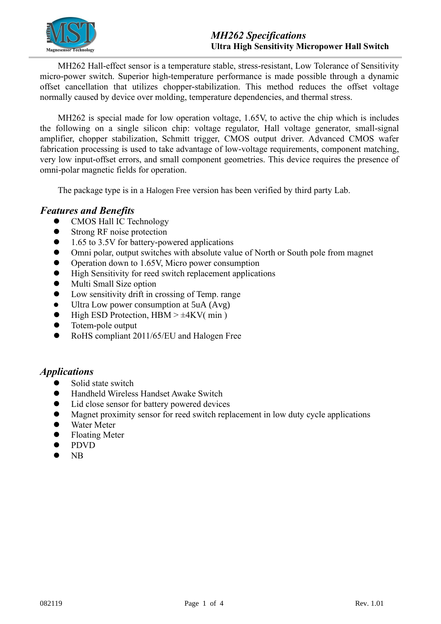

MH262 Hall-effect sensor is a temperature stable, stress-resistant, Low Tolerance of Sensitivity micro-power switch. Superior high-temperature performance is made possible through a dynamic offset cancellation that utilizes chopper-stabilization. This method reduces the offset voltage normally caused by device over molding, temperature dependencies, and thermal stress.

MH262 is special made for low operation voltage, 1.65V, to active the chip which is includes the following on a single silicon chip: voltage regulator, Hall voltage generator, small-signal amplifier, chopper stabilization, Schmitt trigger, CMOS output driver. Advanced CMOS wafer fabrication processing is used to take advantage of low-voltage requirements, component matching, very low input-offset errors, and small component geometries. This device requires the presence of omni-polar magnetic fields for operation.

The package type is in a Halogen Free version has been verified by third party Lab.

### *Features and Benefits*

- ⚫ CMOS Hall IC Technology
- Strong RF noise protection
- 1.65 to 3.5V for battery-powered applications
- ⚫ Omni polar, output switches with absolute value of North or South pole from magnet
- Operation down to 1.65V, Micro power consumption
- ⚫ High Sensitivity for reed switch replacement applications
- ⚫ Multi Small Size option
- Low sensitivity drift in crossing of Temp. range
- ⚫ Ultra Low power consumption at 5uA (Avg)
- $\bullet$  High ESD Protection, HBM >  $\pm$ 4KV( min)
- Totem-pole output
- ⚫ RoHS compliant 2011/65/EU and Halogen Free

# *Applications*

- ⚫ Solid state switch
- ⚫ Handheld Wireless Handset Awake Switch
- ⚫ Lid close sensor for battery powered devices
- ⚫ Magnet proximity sensor for reed switch replacement in low duty cycle applications
- Water Meter
- ⚫ Floating Meter
- ⚫ PDVD
- ⚫ NB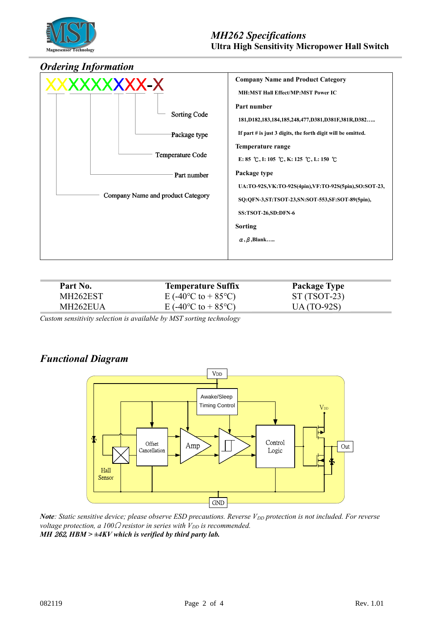

#### *Ordering Information*



| Part No. | <b>Temperature Suffix</b>                     | <b>Package Type</b> |  |
|----------|-----------------------------------------------|---------------------|--|
| MH262EST | E (-40 <sup>o</sup> C to + 85 <sup>o</sup> C) | $ST(TSOT-23)$       |  |
| MH262EUA | E (-40 <sup>o</sup> C to + 85 <sup>o</sup> C) | $UA(TO-92S)$        |  |
|          |                                               |                     |  |

*Custom sensitivity selection is available by MST sorting technology*

# *Functional Diagram*



*Note: Static sensitive device; please observe ESD precautions. Reverse V<sub>DD</sub> protection is not included. For reverse voltage protection, a 100* $\Omega$  *resistor in series with*  $V_{DD}$  *is recommended. MH* 262*, HBM > ±4KV which is verified by third party lab.*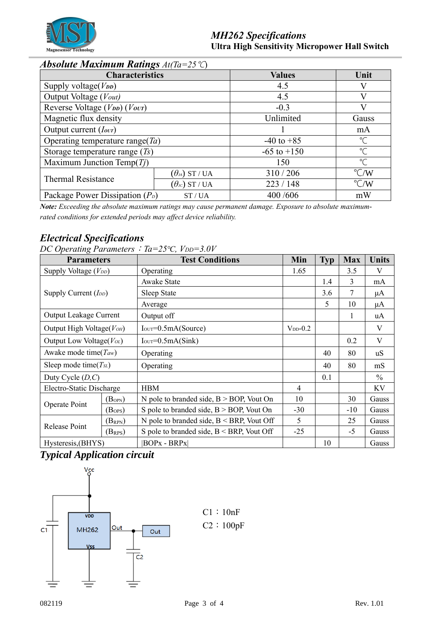

# *Absolute Maximum Ratings At(Ta=25*℃)

| <b>Characteristics</b>                                 |                                        | <b>Values</b>   | Unit               |  |
|--------------------------------------------------------|----------------------------------------|-----------------|--------------------|--|
| Supply voltage( $V_{DD}$ )                             |                                        | 4.5             |                    |  |
| Output Voltage (Vout)                                  |                                        | 4.5             | V                  |  |
| Reverse Voltage (V <sub>DD</sub> ) (V <sub>OUT</sub> ) |                                        | $-0.3$          |                    |  |
| Magnetic flux density                                  |                                        | Unlimited       | Gauss              |  |
| Output current ( <i>lovr</i> )                         |                                        |                 | mA                 |  |
| Operating temperature range( $Ta$ )                    |                                        | $-40$ to $+85$  | $^{\circ}$ C       |  |
| Storage temperature range $(T_s)$                      |                                        | $-65$ to $+150$ | $\degree$          |  |
| Maximum Junction Temp $(Ti)$                           |                                        | 150             | $\mathrm{C}$       |  |
|                                                        | $(\theta$ ja) ST / UA                  | 310/206         | $\rm ^{\circ}$ C/W |  |
| <b>Thermal Resistance</b>                              | $(\theta_{\textit{\tiny JC}})$ ST / UA | 223/148         | $\rm ^{\circ}$ C/W |  |
| Package Power Dissipation $(P_D)$<br>ST/UA             |                                        | 400 /606        | mW                 |  |

*Note: Exceeding the absolute maximum ratings may cause permanent damage. Exposure to absolute maximumrated conditions for extended periods may affect device reliability.*

# *Electrical Specifications*

*DC Operating Parameters*:*Ta=25℃, VDD=3.0V*

| ◡<br><b>Parameters</b>          |                 | <b>Test Conditions</b>                       | Min            | <b>Typ</b> | <b>Max</b> | <b>Units</b>   |
|---------------------------------|-----------------|----------------------------------------------|----------------|------------|------------|----------------|
| Supply Voltage $(V_{DD})$       |                 | Operating                                    | 1.65           |            | 3.5        | V              |
| Supply Current $(I_{DD})$       |                 | Awake State                                  |                | 1.4        | 3          | mA             |
|                                 |                 | Sleep State                                  |                | 3.6        | 7          | $\mu A$        |
|                                 |                 | Average                                      |                | 5          | 10         | $\mu$ A        |
| Output Leakage Current          |                 | Output off                                   |                |            | 1          | uA             |
| Output High Voltage( $V_{OH}$ ) |                 | $IOUT=0.5mA(Source)$                         | $V_{DD} - 0.2$ |            |            | $\mathbf V$    |
| Output Low Voltage(Vol)         |                 | $IOUT=0.5mA(Sink)$                           |                |            | 0.2        | V              |
| Awake mode time( $T_{aw}$ )     |                 | Operating                                    |                | 40         | 80         | u <sub>S</sub> |
| Sleep mode time( $T_{SL}$ )     |                 | Operating                                    |                | 40         | 80         | mS             |
| Duty Cycle $(D, C)$             |                 |                                              |                | 0.1        |            | $\%$           |
| Electro-Static Discharge        |                 | <b>HBM</b>                                   | $\overline{4}$ |            |            | KV             |
| Operate Point                   | $(B_{\rm OPN})$ | N pole to branded side, $B > BOP$ , Vout On  | 10             |            | 30         | Gauss          |
|                                 | $(B_{OPS})$     | S pole to branded side, $B > BOP$ , Vout On  | $-30$          |            | -10        | Gauss          |
| Release Point                   | $(B_{RPN})$     | N pole to branded side, $B < BRP$ , Vout Off | 5              |            | 25         | Gauss          |
|                                 | $(B_{RPS})$     | S pole to branded side, $B < BRP$ , Vout Off | $-25$          |            | $-5$       | Gauss          |
| Hysteresis, (BHYS)              |                 | $ BOPx - BRPx $                              |                | 10         |            | Gauss          |

# *Typical Application circuit*



C1:10nF C2:100pF